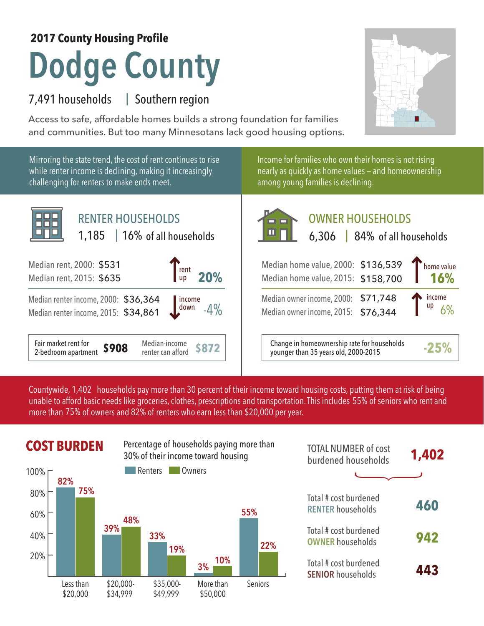## **Dodge County 2017 County Housing Profile**

## 7,491 households | Southern region

Access to safe, affordable homes builds a strong foundation for families and communities. But too many Minnesotans lack good housing options.



Mirroring the state trend, the cost of rent continues to rise while renter income is declining, making it increasingly challenging for renters to make ends meet.

Income for families who own their homes is not rising nearly as quickly as home values — and homeownership among young families is declining.



## OWNER HOUSEHOLDS

| rent<br>20%                                        | Median home value, 2000: \$136,539<br>Median home value, 2015: \$158,700            | Thome value<br>16% |
|----------------------------------------------------|-------------------------------------------------------------------------------------|--------------------|
| 364<br>861<br>  income<br>down                     | Median owner income, 2000: \$71,748<br>Median owner income, 2015: \$76,344          | income<br>up       |
| Median-income<br><b>\$872</b><br>renter can afford | Change in homeownership rate for households<br>younger than 35 years old, 2000-2015 | $-25%$             |

Countywide, 1,402  $\,$  households pay more than 30 percent of their income toward housing costs, putting them at risk of being  $\,$ unable to afford basic needs like groceries, clothes, prescriptions and transportation. This includes 55% of seniors who rent and more than 75% of owners and 82% of renters who earn less than \$20,000 per year.





| <b>TOTAL NUMBER of cost</b><br>burdened households | 1,402 |
|----------------------------------------------------|-------|
| Total # cost burdened<br><b>RENTER households</b>  | 460   |
| Total # cost burdened<br><b>OWNER households</b>   | 942   |
| Total # cost burdened<br><b>SENIOR households</b>  | 443   |